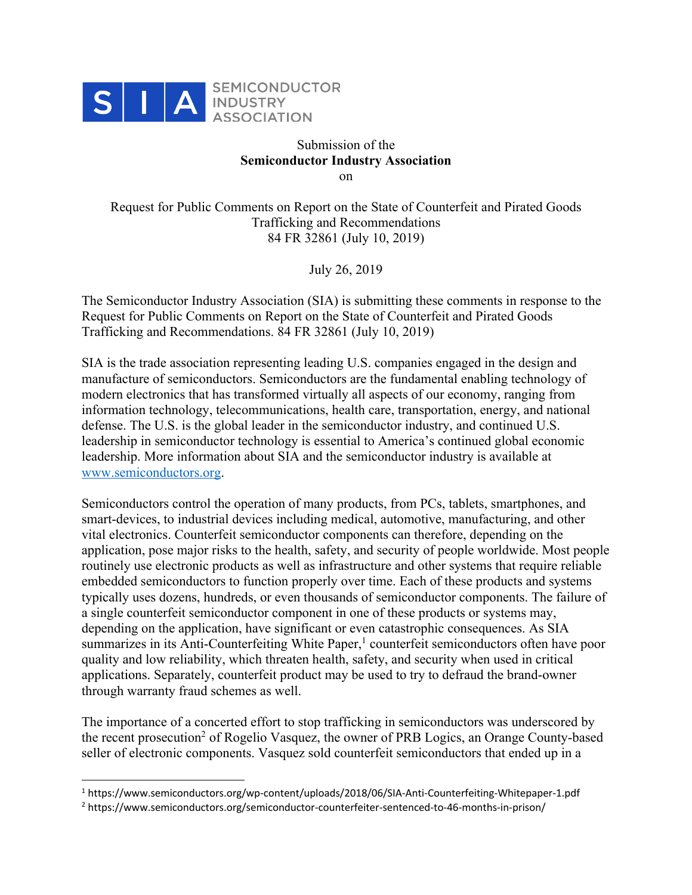

## Submission of the **Semiconductor Industry Association** on

Request for Public Comments on Report on the State of Counterfeit and Pirated Goods Trafficking and Recommendations 84 FR 32861 (July 10, 2019)

July 26, 2019

The Semiconductor Industry Association (SIA) is submitting these comments in response to the Request for Public Comments on Report on the State of Counterfeit and Pirated Goods Trafficking and Recommendations. 84 FR 32861 (July 10, 2019)

SIA is the trade association representing leading U.S. companies engaged in the design and manufacture of semiconductors. Semiconductors are the fundamental enabling technology of modern electronics that has transformed virtually all aspects of our economy, ranging from information technology, telecommunications, health care, transportation, energy, and national defense. The U.S. is the global leader in the semiconductor industry, and continued U.S. leadership in semiconductor technology is essential to America's continued global economic leadership. More information about SIA and the semiconductor industry is available at www.semiconductors.org.

Semiconductors control the operation of many products, from PCs, tablets, smartphones, and smart-devices, to industrial devices including medical, automotive, manufacturing, and other vital electronics. Counterfeit semiconductor components can therefore, depending on the application, pose major risks to the health, safety, and security of people worldwide. Most people routinely use electronic products as well as infrastructure and other systems that require reliable embedded semiconductors to function properly over time. Each of these products and systems typically uses dozens, hundreds, or even thousands of semiconductor components. The failure of a single counterfeit semiconductor component in one of these products or systems may, depending on the application, have significant or even catastrophic consequences. As SIA summarizes in its Anti-Counterfeiting White Paper,<sup>1</sup> counterfeit semiconductors often have poor quality and low reliability, which threaten health, safety, and security when used in critical applications. Separately, counterfeit product may be used to try to defraud the brand-owner through warranty fraud schemes as well.

The importance of a concerted effort to stop trafficking in semiconductors was underscored by the recent prosecution<sup>2</sup> of Rogelio Vasquez, the owner of PRB Logics, an Orange County-based seller of electronic components. Vasquez sold counterfeit semiconductors that ended up in a

<sup>1</sup> https://www.semiconductors.org/wp-content/uploads/2018/06/SIA-Anti-Counterfeiting-Whitepaper-1.pdf

<sup>2</sup> https://www.semiconductors.org/semiconductor-counterfeiter-sentenced-to-46-months-in-prison/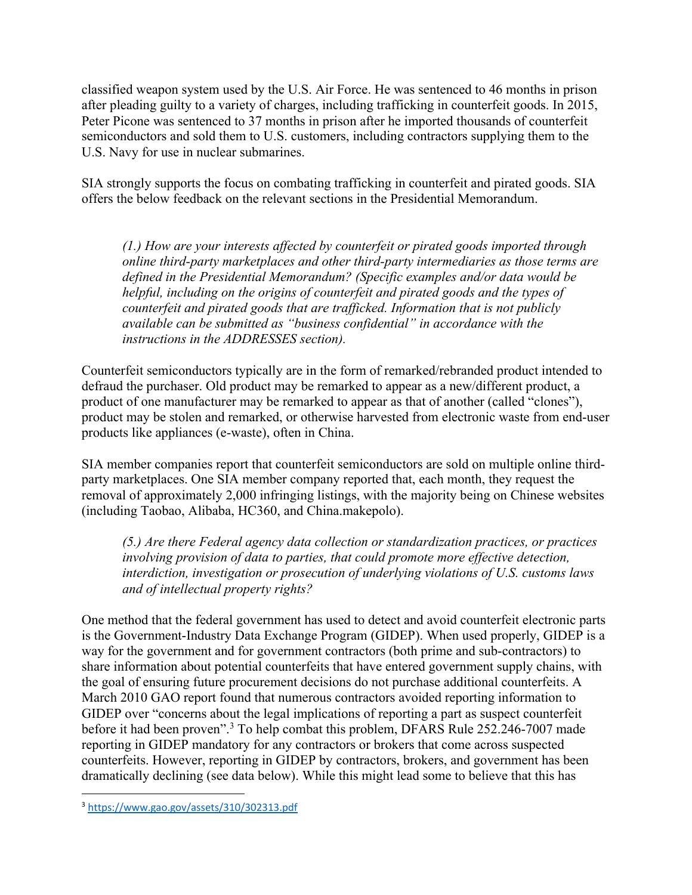classified weapon system used by the U.S. Air Force. He was sentenced to 46 months in prison after pleading guilty to a variety of charges, including trafficking in counterfeit goods. In 2015, Peter Picone was sentenced to 37 months in prison after he imported thousands of counterfeit semiconductors and sold them to U.S. customers, including contractors supplying them to the U.S. Navy for use in nuclear submarines.

SIA strongly supports the focus on combating trafficking in counterfeit and pirated goods. SIA offers the below feedback on the relevant sections in the Presidential Memorandum.

*(1.) How are your interests affected by counterfeit or pirated goods imported through online third-party marketplaces and other third-party intermediaries as those terms are defined in the Presidential Memorandum? (Specific examples and/or data would be helpful, including on the origins of counterfeit and pirated goods and the types of counterfeit and pirated goods that are trafficked. Information that is not publicly available can be submitted as "business confidential" in accordance with the instructions in the ADDRESSES section).* 

Counterfeit semiconductors typically are in the form of remarked/rebranded product intended to defraud the purchaser. Old product may be remarked to appear as a new/different product, a product of one manufacturer may be remarked to appear as that of another (called "clones"), product may be stolen and remarked, or otherwise harvested from electronic waste from end-user products like appliances (e-waste), often in China.

SIA member companies report that counterfeit semiconductors are sold on multiple online thirdparty marketplaces. One SIA member company reported that, each month, they request the removal of approximately 2,000 infringing listings, with the majority being on Chinese websites (including Taobao, Alibaba, HC360, and China.makepolo).

*(5.) Are there Federal agency data collection or standardization practices, or practices involving provision of data to parties, that could promote more effective detection, interdiction, investigation or prosecution of underlying violations of U.S. customs laws and of intellectual property rights?*

One method that the federal government has used to detect and avoid counterfeit electronic parts is the Government-Industry Data Exchange Program (GIDEP). When used properly, GIDEP is a way for the government and for government contractors (both prime and sub-contractors) to share information about potential counterfeits that have entered government supply chains, with the goal of ensuring future procurement decisions do not purchase additional counterfeits. A March 2010 GAO report found that numerous contractors avoided reporting information to GIDEP over "concerns about the legal implications of reporting a part as suspect counterfeit before it had been proven".3 To help combat this problem, DFARS Rule 252.246-7007 made reporting in GIDEP mandatory for any contractors or brokers that come across suspected counterfeits. However, reporting in GIDEP by contractors, brokers, and government has been dramatically declining (see data below). While this might lead some to believe that this has

<sup>3</sup> https://www.gao.gov/assets/310/302313.pdf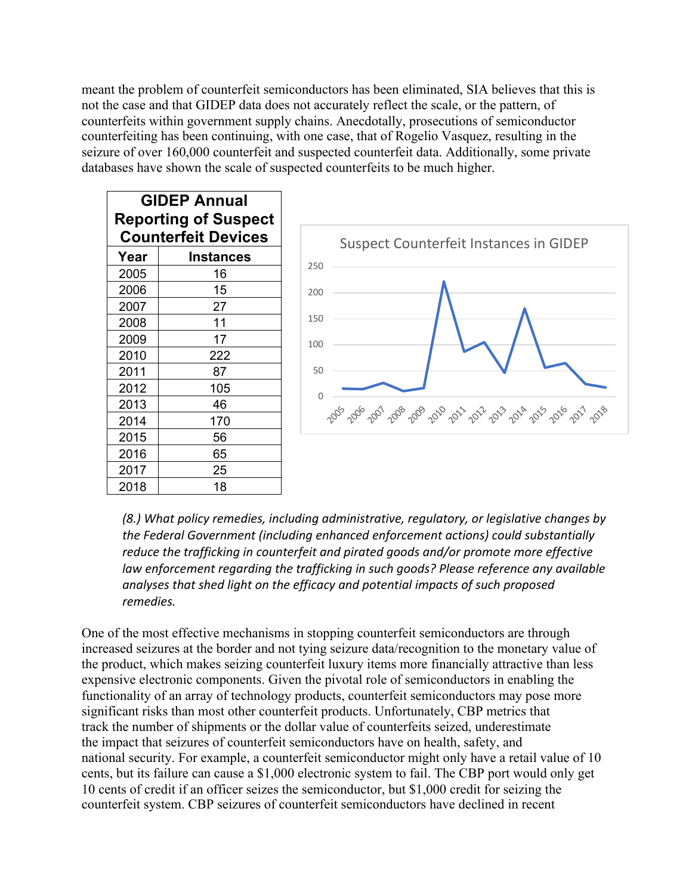meant the problem of counterfeit semiconductors has been eliminated, SIA believes that this is not the case and that GIDEP data does not accurately reflect the scale, or the pattern, of counterfeits within government supply chains. Anecdotally, prosecutions of semiconductor counterfeiting has been continuing, with one case, that of Rogelio Vasquez, resulting in the seizure of over 160,000 counterfeit and suspected counterfeit data. Additionally, some private databases have shown the scale of suspected counterfeits to be much higher.

| <b>GIDEP Annual</b>         |  |  |  |
|-----------------------------|--|--|--|
| <b>Reporting of Suspect</b> |  |  |  |
| <b>Counterfeit Devices</b>  |  |  |  |
|                             |  |  |  |
|                             |  |  |  |
|                             |  |  |  |
|                             |  |  |  |
|                             |  |  |  |
|                             |  |  |  |
|                             |  |  |  |
|                             |  |  |  |
|                             |  |  |  |
|                             |  |  |  |
|                             |  |  |  |
|                             |  |  |  |
|                             |  |  |  |
|                             |  |  |  |
|                             |  |  |  |
|                             |  |  |  |



*(8.) What policy remedies, including administrative, regulatory, or legislative changes by the Federal Government (including enhanced enforcement actions) could substantially reduce the trafficking in counterfeit and pirated goods and/or promote more effective law enforcement regarding the trafficking in such goods? Please reference any available analyses that shed light on the efficacy and potential impacts of such proposed remedies.*

One of the most effective mechanisms in stopping counterfeit semiconductors are through increased seizures at the border and not tying seizure data/recognition to the monetary value of the product, which makes seizing counterfeit luxury items more financially attractive than less expensive electronic components. Given the pivotal role of semiconductors in enabling the functionality of an array of technology products, counterfeit semiconductors may pose more significant risks than most other counterfeit products. Unfortunately, CBP metrics that track the number of shipments or the dollar value of counterfeits seized, underestimate the impact that seizures of counterfeit semiconductors have on health, safety, and national security. For example, a counterfeit semiconductor might only have a retail value of 10 cents, but its failure can cause a \$1,000 electronic system to fail. The CBP port would only get 10 cents of credit if an officer seizes the semiconductor, but \$1,000 credit for seizing the counterfeit system. CBP seizures of counterfeit semiconductors have declined in recent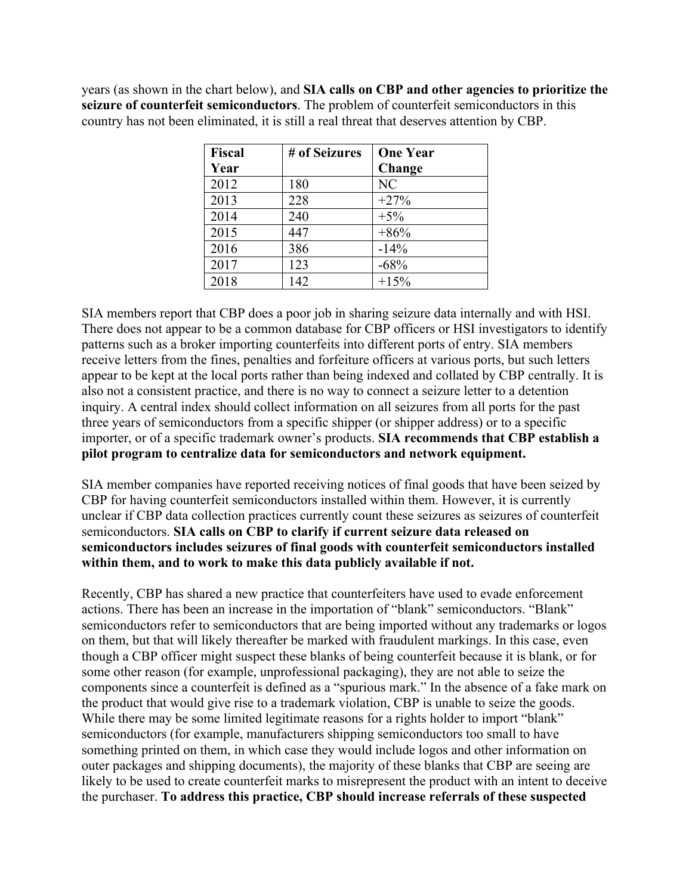years (as shown in the chart below), and **SIA calls on CBP and other agencies to prioritize the seizure of counterfeit semiconductors**. The problem of counterfeit semiconductors in this country has not been eliminated, it is still a real threat that deserves attention by CBP.

| Fiscal | # of Seizures | <b>One Year</b> |
|--------|---------------|-----------------|
| Year   |               | Change          |
| 2012   | 180           | N <sub>C</sub>  |
| 2013   | 228           | $+27%$          |
| 2014   | 240           | $+5%$           |
| 2015   | 447           | $+86%$          |
| 2016   | 386           | $-14%$          |
| 2017   | 123           | $-68%$          |
| 2018   | 142           | $+15%$          |

SIA members report that CBP does a poor job in sharing seizure data internally and with HSI. There does not appear to be a common database for CBP officers or HSI investigators to identify patterns such as a broker importing counterfeits into different ports of entry. SIA members receive letters from the fines, penalties and forfeiture officers at various ports, but such letters appear to be kept at the local ports rather than being indexed and collated by CBP centrally. It is also not a consistent practice, and there is no way to connect a seizure letter to a detention inquiry. A central index should collect information on all seizures from all ports for the past three years of semiconductors from a specific shipper (or shipper address) or to a specific importer, or of a specific trademark owner's products. **SIA recommends that CBP establish a pilot program to centralize data for semiconductors and network equipment.**

SIA member companies have reported receiving notices of final goods that have been seized by CBP for having counterfeit semiconductors installed within them. However, it is currently unclear if CBP data collection practices currently count these seizures as seizures of counterfeit semiconductors. **SIA calls on CBP to clarify if current seizure data released on semiconductors includes seizures of final goods with counterfeit semiconductors installed within them, and to work to make this data publicly available if not.**

Recently, CBP has shared a new practice that counterfeiters have used to evade enforcement actions. There has been an increase in the importation of "blank" semiconductors. "Blank" semiconductors refer to semiconductors that are being imported without any trademarks or logos on them, but that will likely thereafter be marked with fraudulent markings. In this case, even though a CBP officer might suspect these blanks of being counterfeit because it is blank, or for some other reason (for example, unprofessional packaging), they are not able to seize the components since a counterfeit is defined as a "spurious mark." In the absence of a fake mark on the product that would give rise to a trademark violation, CBP is unable to seize the goods. While there may be some limited legitimate reasons for a rights holder to import "blank" semiconductors (for example, manufacturers shipping semiconductors too small to have something printed on them, in which case they would include logos and other information on outer packages and shipping documents), the majority of these blanks that CBP are seeing are likely to be used to create counterfeit marks to misrepresent the product with an intent to deceive the purchaser. **To address this practice, CBP should increase referrals of these suspected**